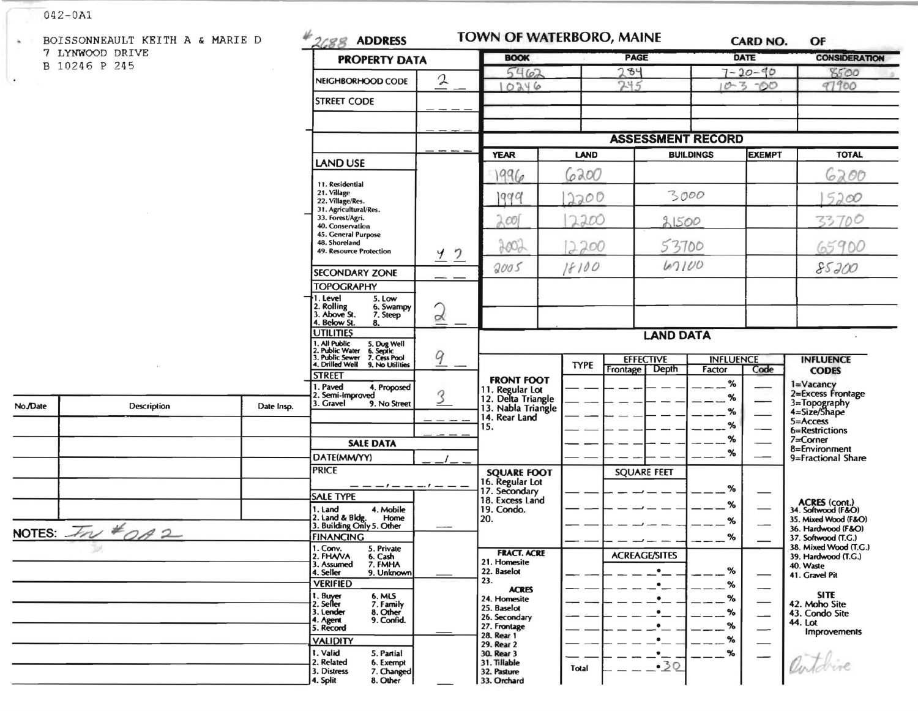## $042 - 0A1$

| $\mathbf{a}_i$       | BOISSONNEAULT KEITH A & MARIE D          |                                                                                                                                      | 2688 ADDRESS                                                                                          |                                   | TOWN OF WATERBORO, MAINE                            |                      |                                      |               | <b>CARD NO.</b>                              | OF                                         |
|----------------------|------------------------------------------|--------------------------------------------------------------------------------------------------------------------------------------|-------------------------------------------------------------------------------------------------------|-----------------------------------|-----------------------------------------------------|----------------------|--------------------------------------|---------------|----------------------------------------------|--------------------------------------------|
| 7 LYNWOOD DRIVE      |                                          |                                                                                                                                      | <b>PROPERTY DATA</b>                                                                                  |                                   | <b>BOOK</b>                                         |                      | <b>PAGE</b>                          |               | <b>DATE</b>                                  | <b>CONSIDERATION</b>                       |
| B 10246 P 245        |                                          |                                                                                                                                      |                                                                                                       |                                   | 5462                                                |                      | 284                                  |               | $7 - 20 - 90$                                | 8500                                       |
| $\ddot{\phantom{a}}$ |                                          |                                                                                                                                      | NEIGHBORHOOD CODE                                                                                     | 2                                 | 10246                                               |                      | 245                                  |               | $10 - 3 - 00$                                | 97900                                      |
|                      |                                          |                                                                                                                                      | <b>STREET CODE</b>                                                                                    |                                   |                                                     |                      |                                      |               |                                              |                                            |
|                      |                                          |                                                                                                                                      |                                                                                                       |                                   |                                                     |                      |                                      |               |                                              |                                            |
|                      |                                          |                                                                                                                                      |                                                                                                       | <b>ASSESSMENT RECORD</b>          |                                                     |                      |                                      |               |                                              |                                            |
|                      |                                          | LAND USE                                                                                                                             |                                                                                                       | <b>YEAR</b>                       | <b>LAND</b>                                         |                      | <b>BUILDINGS</b>                     | <b>EXEMPT</b> | <b>TOTAL</b>                                 |                                            |
|                      |                                          |                                                                                                                                      |                                                                                                       | 1996                              | 6200                                                |                      |                                      |               | 6200                                         |                                            |
|                      |                                          | 11. Residential<br>21. Village<br>22. Village/Res.                                                                                   |                                                                                                       | 1999                              | 2200                                                | 3000                 |                                      |               | 5200                                         |                                            |
|                      |                                          |                                                                                                                                      | 31. Agricultural/Res.<br>33. Forest/Agri.<br>40. Conservation<br>45. General Purpose<br>48. Shoreland |                                   | $\lambda$ 001                                       | 2200                 | 21500                                |               |                                              | 33700                                      |
|                      |                                          |                                                                                                                                      |                                                                                                       |                                   |                                                     |                      |                                      |               |                                              |                                            |
|                      |                                          |                                                                                                                                      | 49. Resource Protection                                                                               | <u>42</u>                         | 900,                                                | 2200                 | 53700<br>67100                       |               |                                              | 65900                                      |
|                      |                                          |                                                                                                                                      | <b>SECONDARY ZONE</b>                                                                                 |                                   | 2005                                                | 18100                |                                      |               |                                              | 85200                                      |
|                      |                                          |                                                                                                                                      | <b>TOPOGRAPHY</b>                                                                                     |                                   |                                                     |                      |                                      |               |                                              |                                            |
|                      |                                          |                                                                                                                                      | l . Level<br>5. Low<br>2. Rolling<br>3. Above St.<br>6. Swampy<br>7. Steep<br>Below St.<br>8.         | $\sqrt{2}$<br>$\overline{\alpha}$ |                                                     |                      |                                      |               |                                              |                                            |
|                      |                                          | <b>UTILITIES</b>                                                                                                                     |                                                                                                       | <b>LAND DATA</b>                  |                                                     |                      |                                      |               |                                              |                                            |
|                      |                                          | . All Public<br>!. Public Water<br>!. Public Sewer<br>5. Dug Well<br>6. Septic<br>7. Cess Pool<br>4. Drilled Well<br>9. No Utilities | $\overline{9}$                                                                                        |                                   | <b>TYPE</b>                                         | <b>EFFECTIVE</b>     | <b>INFLUENCE</b><br><b>INFLUENCE</b> |               |                                              |                                            |
|                      |                                          |                                                                                                                                      | <b>STREET</b>                                                                                         |                                   | <b>FRONT FOOT</b>                                   |                      | Frontage   Depth                     | Factor        | Code                                         | <b>CODES</b>                               |
| No./Date             | <b>Description</b>                       | Date Insp.                                                                                                                           | . Paved<br>4. Proposed<br>2. Semi-Improved<br>3. Gravel<br>9. No Street                               | 3                                 | 11. Regular Lot<br>12. Delta Triangle               |                      |                                      | $\%$<br>%     |                                              | 1=Vacancy<br>2=Excess Frontage             |
|                      |                                          |                                                                                                                                      |                                                                                                       |                                   | 13. Nabla Triangle<br>14. Rear Land                 |                      |                                      | %             |                                              | 3=Topography<br>4=Size/Shape<br>5=Access   |
|                      |                                          |                                                                                                                                      |                                                                                                       |                                   | 15.                                                 |                      |                                      | %             |                                              | 6=Restrictions                             |
|                      |                                          |                                                                                                                                      | <b>SALE DATA</b>                                                                                      |                                   |                                                     |                      |                                      | %<br>%        |                                              | 7=Corner<br>8=Environment                  |
|                      |                                          |                                                                                                                                      | DATE(MM/YY)                                                                                           |                                   |                                                     |                      |                                      |               |                                              | 9=Fractional Share                         |
|                      |                                          | <b>PRICE</b>                                                                                                                         |                                                                                                       | <b>SQUARE FOOT</b>                |                                                     | <b>SQUARE FEET</b>   |                                      |               |                                              |                                            |
|                      |                                          |                                                                                                                                      | <b>SALE TYPE</b>                                                                                      | $-1$ $ -$                         | 16. Regular Lot<br>17. Secondary<br>18. Excess Land |                      |                                      | %             |                                              |                                            |
|                      |                                          |                                                                                                                                      | 4. Mobile<br>1. Land                                                                                  |                                   | 19. Condo.                                          |                      |                                      | %             |                                              | ACRES (cont.)<br>34. Softwood (F&O)        |
|                      |                                          |                                                                                                                                      | 2. Land & Bldg. Home<br>3. Building Only 5. Other<br>Home                                             |                                   | 20.                                                 |                      |                                      | %             |                                              | 35. Mixed Wood (F&O)<br>36. Hardwood (F&O) |
|                      | NOTES: $\overline{\mathcal{I}}_{N}$ #0A2 | <b>FINANCING</b>                                                                                                                     |                                                                                                       |                                   |                                                     |                      | ℅                                    |               | 37. Softwood (T.G.)                          |                                            |
|                      | D.                                       | 1. Conv.<br>5. Private<br>2. FHAVA<br>6. Cash                                                                                        |                                                                                                       | <b>FRACT. ACRE</b>                |                                                     | <b>ACREAGE/SITES</b> |                                      |               | 38. Mixed Wood (T.G.)<br>39. Hardwood (T.G.) |                                            |
|                      |                                          |                                                                                                                                      | 7. FMHA<br>3. Assumed<br>4. Seller<br>9. Unknown                                                      |                                   | 21. Homesite<br>22. Baselot                         |                      |                                      | %             |                                              | 40. Waste<br>41. Gravel Pit                |
|                      |                                          |                                                                                                                                      | <b>VERIFIED</b>                                                                                       |                                   | 23.<br><b>ACRES</b>                                 |                      |                                      | %             |                                              |                                            |
|                      |                                          |                                                                                                                                      | 1. Buyer<br>2. Seller<br>6. MLS<br>7. Family                                                          |                                   | 24. Homesite                                        |                      |                                      | %             |                                              | <b>SITE</b><br>42. Moho Site               |
|                      |                                          |                                                                                                                                      | 8. Other<br>3. Lender<br>9. Confid.                                                                   |                                   | 25. Baselot<br>26. Secondary                        |                      | $\bullet$                            | %             | —                                            | 43. Condo Site<br>44. Lot                  |
|                      |                                          |                                                                                                                                      | 4. Agent<br>5. Record                                                                                 |                                   | 27. Frontage<br>28. Rear 1                          |                      | $\bullet$                            | %             | —                                            | <b>Improvements</b>                        |
|                      |                                          |                                                                                                                                      | <b>VALIDITY</b><br>1. Valid                                                                           |                                   | 29. Rear 2                                          |                      | $\bullet$                            | %             |                                              |                                            |
|                      |                                          |                                                                                                                                      | 5. Partial<br>2. Related<br>6. Exempt                                                                 |                                   | 30. Rear 3<br>31. Tillable                          |                      | $\bullet$<br>$-30$                   | %             |                                              |                                            |
|                      |                                          | 3. Distress<br>7. Changed<br>4. Split<br>8. Other                                                                                    |                                                                                                       | 32. Pasture<br>33. Orchard        | Total                                               |                      |                                      |               |                                              |                                            |